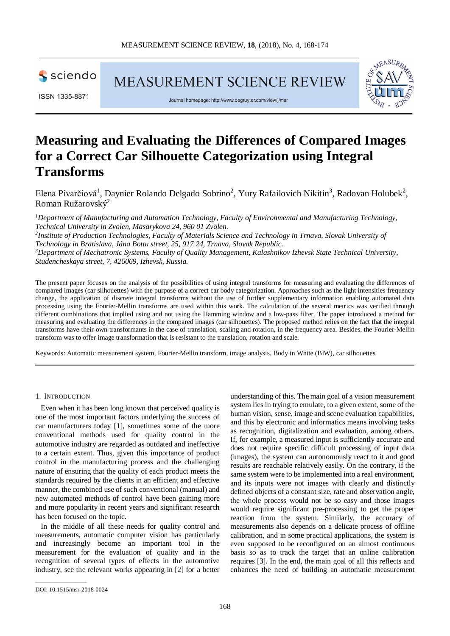

MEASUREMENT SCIENCE REVIEW

ISSN 1335-8871





# **Measuring and Evaluating the Differences of Compared Images for a Correct Car Silhouette Categorization using Integral Transforms**

Elena Pivarčiová<sup>1</sup>, Daynier Rolando Delgado Sobrino<sup>2</sup>, Yury Rafailovich Nikitin<sup>3</sup>, Radovan Holubek<sup>2</sup>, Roman Ružarovský2

<sup>1</sup>Department of Manufacturing and Automation Technology, Faculty of Environmental and Manufacturing Technology, *Technical University in Zvolen, Masarykova 24, 960 01 Zvolen. 2 Institute of Production Technologies, Faculty of Materials Science and Technology in Trnava, Slovak University of Technology in Bratislava, Jána Bottu street, 25, 917 24, Trnava, Slovak Republic. 3 Department of Mechatronic Systems, Faculty of Quality Management, Kalashnikov Izhevsk State Technical University, Studencheskaya street, 7, 426069, Izhevsk, Russia.*

The present paper focuses on the analysis of the possibilities of using integral transforms for measuring and evaluating the differences of compared images (car silhouettes) with the purpose of a correct car body categorization. Approaches such as the light intensities frequency change, the application of discrete integral transforms without the use of further supplementary information enabling automated data processing using the Fourier-Mellin transforms are used within this work. The calculation of the several metrics was verified through different combinations that implied using and not using the Hamming window and a low-pass filter. The paper introduced a method for measuring and evaluating the differences in the compared images (car silhouettes). The proposed method relies on the fact that the integral transforms have their own transformants in the case of translation, scaling and rotation, in the frequency area. Besides, the Fourier-Mellin transform was to offer image transformation that is resistant to the translation, rotation and scale.

Keywords: Automatic measurement system, Fourier-Mellin transform, image analysis, Body in White (BIW), car silhouettes.

## 1. INTRODUCTION

Even when it has been long known that perceived quality is one of the most important factors underlying the success of car manufacturers today [1], sometimes some of the more conventional methods used for quality control in the automotive industry are regarded as outdated and ineffective to a certain extent. Thus, given this importance of product control in the manufacturing process and the challenging nature of ensuring that the quality of each product meets the standards required by the clients in an efficient and effective manner, the combined use of such conventional (manual) and new automated methods of control have been gaining more and more popularity in recent years and significant research has been focused on the topic.

In the middle of all these needs for quality control and measurements, automatic computer vision has particularly and increasingly become an important tool in the measurement for the evaluation of quality and in the recognition of several types of effects in the automotive industry, see the relevant works appearing in [2] for a better

understanding of this. The main goal of a vision measurement system lies in trying to emulate, to a given extent, some of the human vision, sense, image and scene evaluation capabilities, and this by electronic and informatics means involving tasks as recognition, digitalization and evaluation, among others. If, for example, a measured input is sufficiently accurate and does not require specific difficult processing of input data (images), the system can autonomously react to it and good results are reachable relatively easily. On the contrary, if the same system were to be implemented into a real environment, and its inputs were not images with clearly and distinctly defined objects of a constant size, rate and observation angle, the whole process would not be so easy and those images would require significant pre-processing to get the proper reaction from the system. Similarly, the accuracy of measurements also depends on a delicate process of offline calibration, and in some practical applications, the system is even supposed to be reconfigured on an almost continuous basis so as to track the target that an online calibration requires [3]. In the end, the main goal of all this reflects and enhances the need of building an automatic measurement

\_\_\_\_\_\_\_\_\_\_\_\_\_\_\_\_\_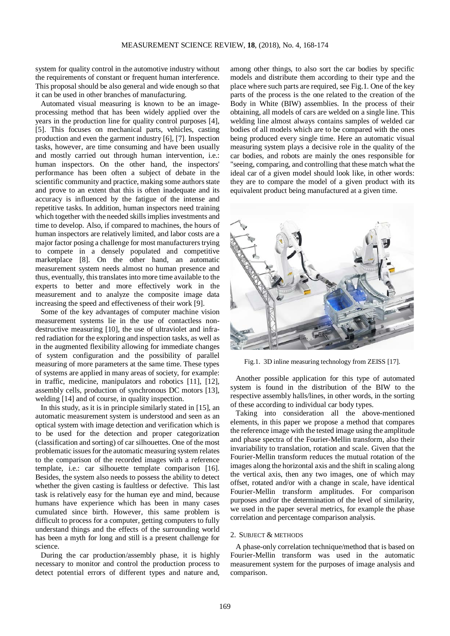system for quality control in the automotive industry without the requirements of constant or frequent human interference. This proposal should be also general and wide enough so that it can be used in other branches of manufacturing.

Automated visual measuring is known to be an imageprocessing method that has been widely applied over the years in the production line for quality control purposes [4], [5]. This focuses on mechanical parts, vehicles, casting production and even the garment industry [6], [7]. Inspection tasks, however, are time consuming and have been usually and mostly carried out through human intervention, i.e.: human inspectors. On the other hand, the inspectors' performance has been often a subject of debate in the scientific community and practice, making some authors state and prove to an extent that this is often inadequate and its accuracy is influenced by the fatigue of the intense and repetitive tasks. In addition, human inspectors need training which together with the needed skills implies investments and time to develop. Also, if compared to machines, the hours of human inspectors are relatively limited, and labor costs are a major factor posing a challenge for most manufacturers trying to compete in a densely populated and competitive marketplace [8]. On the other hand, an automatic measurement system needs almost no human presence and thus, eventually, this translates into more time available to the experts to better and more effectively work in the measurement and to analyze the composite image data increasing the speed and effectiveness of their work [9].

Some of the key advantages of computer machine vision measurement systems lie in the use of contactless nondestructive measuring [10], the use of ultraviolet and infrared radiation for the exploring and inspection tasks, as well as in the augmented flexibility allowing for immediate changes of system configuration and the possibility of parallel measuring of more parameters at the same time. These types of systems are applied in many areas of society, for example: in traffic, medicine, manipulators and robotics [11], [12], assembly cells, production of synchronous DC motors [13], welding [14] and of course, in quality inspection.

In this study, as it is in principle similarly stated in [15], an automatic measurement system is understood and seen as an optical system with image detection and verification which is to be used for the detection and proper categorization (classification and sorting) of car silhouettes. One of the most problematic issues for the automatic measuring system relates to the comparison of the recorded images with a reference template, i.e.: car silhouette template comparison [16]. Besides, the system also needs to possess the ability to detect whether the given casting is faultless or defective. This last task is relatively easy for the human eye and mind, because humans have experience which has been in many cases cumulated since birth. However, this same problem is difficult to process for a computer, getting computers to fully understand things and the effects of the surrounding world has been a myth for long and still is a present challenge for science.

During the car production/assembly phase, it is highly necessary to monitor and control the production process to detect potential errors of different types and nature and, among other things, to also sort the car bodies by specific models and distribute them according to their type and the place where such parts are required, see Fig.1. One of the key parts of the process is the one related to the creation of the Body in White (BIW) assemblies. In the process of their obtaining, all models of cars are welded on a single line. This welding line almost always contains samples of welded car bodies of all models which are to be compared with the ones being produced every single time. Here an automatic visual measuring system plays a decisive role in the quality of the car bodies, and robots are mainly the ones responsible for "seeing, comparing, and controlling that these match what the ideal car of a given model should look like, in other words: they are to compare the model of a given product with its equivalent product being manufactured at a given time.



Fig.1. 3D inline measuring technology from ZEISS [17].

Another possible application for this type of automated system is found in the distribution of the BIW to the respective assembly halls/lines, in other words, in the sorting of these according to individual car body types.

Taking into consideration all the above-mentioned elements, in this paper we propose a method that compares the reference image with the tested image using the amplitude and phase spectra of the Fourier-Mellin transform, also their invariability to translation, rotation and scale. Given that the Fourier-Mellin transform reduces the mutual rotation of the images along the horizontal axis and the shift in scaling along the vertical axis, then any two images, one of which may offset, rotated and/or with a change in scale, have identical Fourier-Mellin transform amplitudes. For comparison purposes and/or the determination of the level of similarity, we used in the paper several metrics, for example the phase correlation and percentage comparison analysis.

#### 2. SUBJECT & METHODS

A phase-only correlation technique/method that is based on Fourier-Mellin transform was used in the automatic measurement system for the purposes of image analysis and comparison.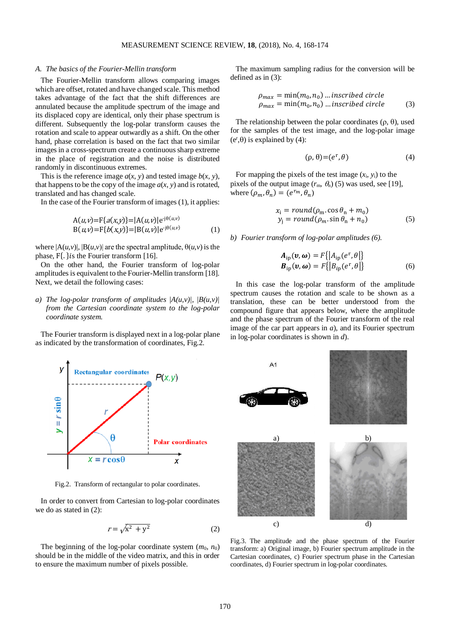#### *A. The basics of the Fourier-Mellin transform*

The Fourier-Mellin transform allows comparing images which are offset, rotated and have changed scale. This method takes advantage of the fact that the shift differences are annulated because the amplitude spectrum of the image and its displaced copy are identical, only their phase spectrum is different. Subsequently the log-polar transform causes the rotation and scale to appear outwardly as a shift. On the other hand, phase correlation is based on the fact that two similar images in a cross-spectrum create a continuous sharp extreme in the place of registration and the noise is distributed randomly in discontinuous extremes.

This is the reference image  $a(x, y)$  and tested image  $b(x, y)$ , that happens to be the copy of the image  $a(x, y)$  and is rotated, translated and has changed scale.

In the case of the Fourier transform of images (1), it applies:

$$
A(u,v)=F{a(x,y)}=|A(u,v)|e^{-j\theta(u,v)}
$$
  
\n
$$
B(u,v)=F{b(x,y)}=|B(u,v)|e^{-j\theta(u,v)}
$$
 (1)

where  $|A(u,v)|$ ,  $|B(u,v)|$  are the spectral amplitude,  $\theta(u,v)$  is the phase,  $F\{.\}$ is the Fourier transform [16].

On the other hand, the Fourier transform of log-polar amplitudes is equivalent to the Fourier-Mellin transform [18]. Next, we detail the following cases:

# *a) The log-polar transform of amplitudes*  $|A(u,v)|$ ,  $|B(u,v)|$ *from the Cartesian coordinate system to the log-polar coordinate system.*

The Fourier transform is displayed next in a log-polar plane as indicated by the transformation of coordinates, Fig.2.



Fig.2. Transform of rectangular to polar coordinates.

In order to convert from Cartesian to log-polar coordinates we do as stated in (2):

$$
r = \sqrt{x^2 + y^2} \tag{2}
$$

The beginning of the log-polar coordinate system  $(m_0, n_0)$ should be in the middle of the video matrix, and this in order to ensure the maximum number of pixels possible.

The maximum sampling radius for the conversion will be defined as in (3):

$$
\rho_{max} = \min(m_0, n_0) \dots \text{insert} \text{be} \text{circle}
$$
\n
$$
\rho_{max} = \min(m_0, n_0) \dots \text{insert} \text{be} \text{circle} \tag{3}
$$

The relationship between the polar coordinates  $(\rho, \theta)$ , used for the samples of the test image, and the log-polar image  $(e^r, \theta)$  is explained by (4):

$$
(\rho, \theta) = (e^{\mathbf{r}}, \theta) \tag{4}
$$

For mapping the pixels of the test image (*x*i, *y*i) to the pixels of the output image  $(r_m, \theta_n)$  (5) was used, see [19], where  $(\rho_m, \theta_n) = (e^{r_m}, \theta_n)$ 

$$
xi = round(\rhom. cos θn + m0)yj = round(\rhom. sin θn + n0)
$$
 (5)

*b) Fourier transform of log-polar amplitudes (6).*

$$
A_{\text{ip}}(\mathbf{v}, \boldsymbol{\omega}) = F\{|A_{\text{ip}}(e^r, \theta)|\}B_{\text{ip}}(\mathbf{v}, \boldsymbol{\omega}) = F\{|B_{\text{ip}}(e^r, \theta)|\}\tag{6}
$$

In this case the log-polar transform of the amplitude spectrum causes the rotation and scale to be shown as a translation, these can be better understood from the compound figure that appears below, where the amplitude and the phase spectrum of the Fourier transform of the real image of the car part appears in *a*), and its Fourier spectrum in log-polar coordinates is shown in *d*).



Fig.3. The amplitude and the phase spectrum of the Fourier transform: a) Original image, b) Fourier spectrum amplitude in the Cartesian coordinates, c) Fourier spectrum phase in the Cartesian coordinates, d) Fourier spectrum in log-polar coordinates.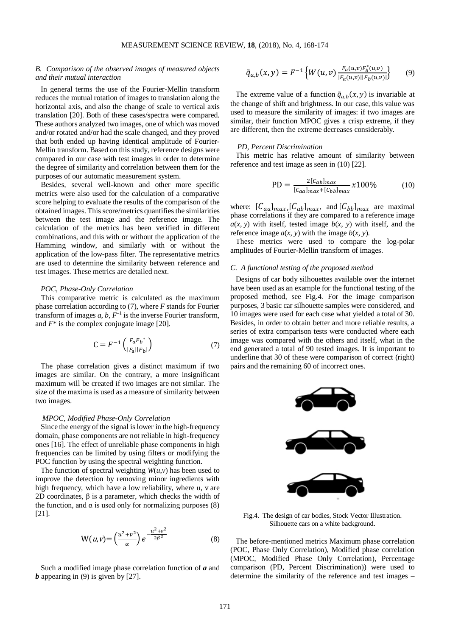## *B. Comparison of the observed images of measured objects and their mutual interaction*

In general terms the use of the Fourier-Mellin transform reduces the mutual rotation of images to translation along the horizontal axis, and also the change of scale to vertical axis translation [20]. Both of these cases/spectra were compared. These authors analyzed two images, one of which was moved and/or rotated and/or had the scale changed, and they proved that both ended up having identical amplitude of Fourier-Mellin transform. Based on this study, reference designs were compared in our case with test images in order to determine the degree of similarity and correlation between them for the purposes of our automatic measurement system.

Besides, several well-known and other more specific metrics were also used for the calculation of a comparative score helping to evaluate the results of the comparison of the obtained images. This score/metrics quantifies the similarities between the test image and the reference image. The calculation of the metrics has been verified in different combinations, and this with or without the application of the Hamming window, and similarly with or without the application of the low-pass filter. The representative metrics are used to determine the similarity between reference and test images. These metrics are detailed next.

### *POC, Phase-Only Correlation*

This comparative metric is calculated as the maximum phase correlation according to (7), where *F* stands for Fourier transform of images  $a, b, F<sup>-1</sup>$  is the inverse Fourier transform, and *F*\* is the complex conjugate image [20].

$$
C = F^{-1} \left( \frac{F_a F_b^*}{|F_a||F_b|} \right) \tag{7}
$$

The phase correlation gives a distinct maximum if two images are similar. On the contrary, a more insignificant maximum will be created if two images are not similar. The size of the maxima is used as a measure of similarity between two images.

#### *MPOC, Modified Phase-Only Correlation*

Since the energy of the signal is lower in the high-frequency domain, phase components are not reliable in high-frequency ones [16]. The effect of unreliable phase components in high frequencies can be limited by using filters or modifying the POC function by using the spectral weighting function.

The function of spectral weighting  $W(u, v)$  has been used to improve the detection by removing minor ingredients with high frequency, which have a low reliability, where u, v are 2D coordinates, β is a parameter, which checks the width of the function, and  $\alpha$  is used only for normalizing purposes (8) [21].

$$
W(u,v) = \left(\frac{u^2 + v^2}{\alpha}\right)e^{-\frac{u^2 + v^2}{2\beta^2}}
$$
 (8)

Such a modified image phase correlation function of *a* and *b* appearing in (9) is given by [27].

$$
\tilde{q}_{a,b}(x,y) = F^{-1}\left\{W(u,v)\frac{F_a(u,v)F_b^*(u,v)}{|F_a(u,v)||F_b(u,v)|}\right\} \qquad (9)
$$

The extreme value of a function  $\tilde{q}_{a,b}(x, y)$  is invariable at the change of shift and brightness. In our case, this value was used to measure the similarity of images: if two images are similar, their function MPOC gives a crisp extreme, if they are different, then the extreme decreases considerably.

## *PD, Percent Discrimination*

This metric has relative amount of similarity between reference and test image as seen in (10) [22].

$$
PD = \frac{2[c_{ab}]_{max}}{[c_{aa}]_{max} + [c_{bb}]_{max}} \chi 100\%
$$
 (10)

where:  $[C_{aa}]_{max}$ ,  $[C_{ab}]_{max}$ , and  $[C_{bb}]_{max}$  are maximal phase correlations if they are compared to a reference image  $a(x, y)$  with itself, tested image  $b(x, y)$  with itself, and the reference image  $a(x, y)$  with the image  $b(x, y)$ .

These metrics were used to compare the log-polar amplitudes of Fourier-Mellin transform of images.

## *C. A functional testing of the proposed method*

Designs of car body silhouettes available over the internet have been used as an example for the functional testing of the proposed method, see Fig.4. For the image comparison purposes, 3 basic car silhouette samples were considered, and 10 images were used for each case what yielded a total of 30. Besides, in order to obtain better and more reliable results, a series of extra comparison tests were conducted where each image was compared with the others and itself, what in the end generated a total of 90 tested images. It is important to underline that 30 of these were comparison of correct (right) pairs and the remaining 60 of incorrect ones.



Fig.4. The design of car bodies, Stock Vector Illustration. Silhouette cars on a white background.

The before-mentioned metrics Maximum phase correlation (POC, Phase Only Correlation), Modified phase correlation (MPOC, Modified Phase Only Correlation), Percentage comparison (PD, Percent Discrimination)) were used to determine the similarity of the reference and test images –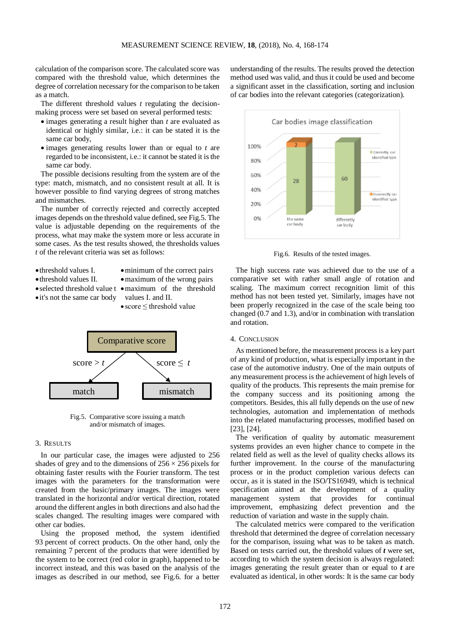calculation of the comparison score. The calculated score was compared with the threshold value, which determines the degree of correlation necessary for the comparison to be taken as a match.

The different threshold values *t* regulating the decisionmaking process were set based on several performed tests:

- images generating a result higher than *t* are evaluated as identical or highly similar, i.e.: it can be stated it is the same car body,
- images generating results lower than or equal to *t* are regarded to be inconsistent, *i.e.*: it cannot be stated it is the same car body.

The possible decisions resulting from the system are of the type: match, mismatch, and no consistent result at all. It is however possible to find varying degrees of strong matches and mismatches.

The number of correctly rejected and correctly accepted images depends on the threshold value defined, see Fig.5. The value is adjustable depending on the requirements of the process, what may make the system more or less accurate in some cases. As the test results showed, the thresholds values *t* of the relevant criteria was set as follows:

- •threshold values I.
- •threshold values II.
- minimum of the correct pairs
- 
- maximum of the wrong pairs
- •selected threshold value t •maximum of the threshold values I. and II.
- •it's not the same car body

• score ≤ threshold value



Fig.5. Comparative score issuing a match and/or mismatch of images.

## 3. RESULTS

In our particular case, the images were adjusted to 256 shades of grey and to the dimensions of  $256 \times 256$  pixels for obtaining faster results with the Fourier transform. The test images with the parameters for the transformation were created from the basic/primary images. The images were translated in the horizontal and/or vertical direction, rotated around the different angles in both directions and also had the scales changed. The resulting images were compared with other car bodies.

Using the proposed method, the system identified 93 percent of correct products. On the other hand, only the remaining 7 percent of the products that were identified by the system to be correct (red color in graph), happened to be incorrect instead, and this was based on the analysis of the images as described in our method, see Fig.6. for a better understanding of the results. The results proved the detection method used was valid, and thus it could be used and become a significant asset in the classification, sorting and inclusion of car bodies into the relevant categories (categorization).



Fig.6. Results of the tested images.

The high success rate was achieved due to the use of a comparative set with rather small angle of rotation and scaling. The maximum correct recognition limit of this method has not been tested yet. Similarly, images have not been properly recognized in the case of the scale being too changed (0.7 and 1.3), and/or in combination with translation and rotation.

#### 4. CONCLUSION

As mentioned before, the measurement process is a key part of any kind of production, what is especially important in the case of the automotive industry. One of the main outputs of any measurement process is the achievement of high levels of quality of the products. This represents the main premise for the company success and its positioning among the competitors. Besides, this all fully depends on the use of new technologies, automation and implementation of methods into the related manufacturing processes, modified based on [23], [24].

The verification of quality by automatic measurement systems provides an even higher chance to compete in the related field as well as the level of quality checks allows its further improvement. In the course of the manufacturing process or in the product completion various defects can occur, as it is stated in the ISO/TS16949, which is technical specification aimed at the development of a quality management system that provides for continual improvement, emphasizing defect prevention and the reduction of variation and waste in the supply chain.

The calculated metrics were compared to the verification threshold that determined the degree of correlation necessary for the comparison, issuing what was to be taken as match. Based on tests carried out, the threshold values of *t* were set, according to which the system decision is always regulated: images generating the result greater than or equal to *t* are evaluated as identical, in other words: It is the same car body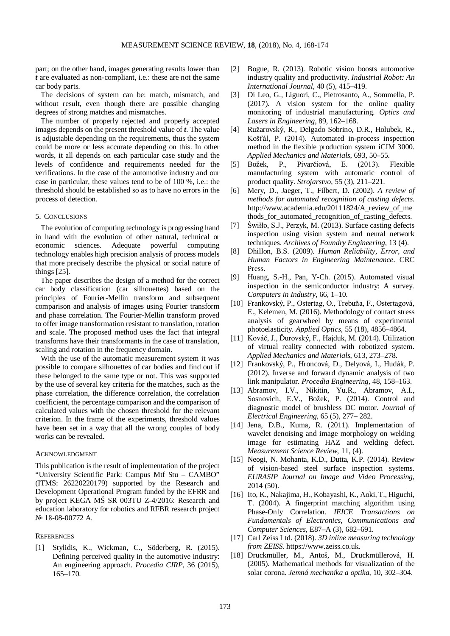part; on the other hand, images generating results lower than *t* are evaluated as non-compliant, i.e.: these are not the same car body parts.

The decisions of system can be: match, mismatch, and without result, even though there are possible changing degrees of strong matches and mismatches.

The number of properly rejected and properly accepted images depends on the present threshold value of *t*. The value is adjustable depending on the requirements, thus the system could be more or less accurate depending on this. In other words, it all depends on each particular case study and the levels of confidence and requirements needed for the verifications. In the case of the automotive industry and our case in particular, these values tend to be of 100 %, i.e.: the threshold should be established so as to have no errors in the process of detection.

#### 5. CONCLUSIONS

The evolution of computing technology is progressing hand in hand with the evolution of other natural, technical or economic sciences. Adequate powerful computing technology enables high precision analysis of process models that more precisely describe the physical or social nature of things [25].

The paper describes the design of a method for the correct car body classification (car silhouettes) based on the principles of Fourier-Mellin transform and subsequent comparison and analysis of images using Fourier transform and phase correlation. The Fourier-Mellin transform proved to offer image transformation resistant to translation, rotation and scale. The proposed method uses the fact that integral transforms have their transformants in the case of translation, scaling and rotation in the frequency domain.

With the use of the automatic measurement system it was possible to compare silhouettes of car bodies and find out if these belonged to the same type or not. This was supported by the use of several key criteria for the matches, such as the phase correlation, the difference correlation, the correlation coefficient, the percentage comparison and the comparison of calculated values with the chosen threshold for the relevant criterion. In the frame of the experiments, threshold values have been set in a way that all the wrong couples of body works can be revealed.

#### ACKNOWLEDGMENT

This publication is the result of implementation of the project "University Scientific Park: Campus Mtf Stu – CAMBO" (ITMS: 26220220179) supported by the Research and Development Operational Program funded by the EFRR and by project KEGA MŠ SR 003TU Z-4/2016: Research and education laboratory for robotics and RFBR research project № 18-08-00772 A.

## **REFERENCES**

[1] Stylidis, K., Wickman, C., Söderberg, R. (2015). Defining perceived quality in the automotive industry: An engineering approach*. Procedia CIRP*, 36 (2015), 165–170.

- [2] Bogue, R. (2013). Robotic vision boosts automotive industry quality and productivity. *Industrial Robot: An International Journal*, 40 (5), 415–419.
- [3] Di Leo, G., Liguori, C., Pietrosanto, A., Sommella, P. (2017). A vision system for the online quality monitoring of industrial manufacturing*. Optics and Lasers in Engineering*, 89, 162–168.
- [4] Ružarovský, R., Delgado Sobrino, D.R., Holubek, R., Košťál, P. (2014). Automated in-process inspection method in the flexible production system iCIM 3000. *Applied Mechanics and Materials*, 693, 50–55.
- [5] Božek, P., Pivarčiová, E. (2013). Flexible manufacturing system with automatic control of product quality. *Strojarstvo*, 55 (3), 211–221.
- [6] Mery, D., Jaeger, T., Filbert, D. (2002). *A review of methods for automated recognition of casting defects*. http://www.academia.edu/20111824/A\_review\_of\_me thods for automated recognition of casting defects.
- [7] Świłło, S.J., Perzyk, M. (2013). Surface casting defects inspection using vision system and neural network techniques. *Archives of Foundry Engineering*, 13 (4).
- [8] Dhillon, B.S. (2009). *Human Reliability, Error, and Human Factors in Engineering Maintenance*. CRC Press.
- [9] Huang, S.-H., Pan, Y-Ch. (2015). Automated visual inspection in the semiconductor industry: A survey*. Computers in Industry*, 66, 1–10.
- [10] Frankovský, P., Ostertag, O., Trebuňa, F., Ostertagová, E., Kelemen, M. (2016). Methodology of contact stress analysis of gearwheel by means of experimental photoelasticity*. Applied Optics,* 55 (18), 4856–4864.
- [11] Kováč, J., Ďurovský, F., Hajduk, M. (2014). Utilization of virtual reality connected with robotized system. *Applied Mechanics and Materials*, 613, 273–278.
- [12] Frankovský, P., Hroncová, D., Delyová, I., Hudák, P. (2012). Inverse and forward dynamic analysis of two link manipulator. *Procedia Engineering*, 48, 158–163.
- [13] Abramov, I.V., Nikitin, Yu.R., Abramov, A.I., Sosnovich, E.V., Božek, P. (2014). Control and diagnostic model of brushless DC motor*. Journal of Electrical Engineering*, 65 (5), 277– 282.
- [14] Jena, D.B., Kuma, R. (2011). Implementation of wavelet denoising and image morphology on welding image for estimating HAZ and welding defect. *Measurement Science Review*, 11, (4).
- [15] Neogi, N. Mohanta, K.D., Dutta, K.P. (2014). Review of vision-based steel surface inspection systems. *EURASIP Journal on Image and Video Processing*, 2014 (50).
- [16] Ito, K., Nakajima, H., Kobayashi, K., Aoki, T., Higuchi, T. (2004). A fingerprint matching algorithm using Phase-Only Correlation*. IEICE Transactions on Fundamentals of Electronics, Communications and Computer Sciences*, E87–A (3), 682–691.
- [17] Carl Zeiss Ltd. (2018). *3D inline measuring technology from ZEISS*. https://www.zeiss.co.uk.
- [18] Druckmüller, M., Antoš, M., Druckmüllerová, H. (2005). Mathematical methods for visualization of the solar corona. *Jemná mechanika a optika*, 10, 302–304.